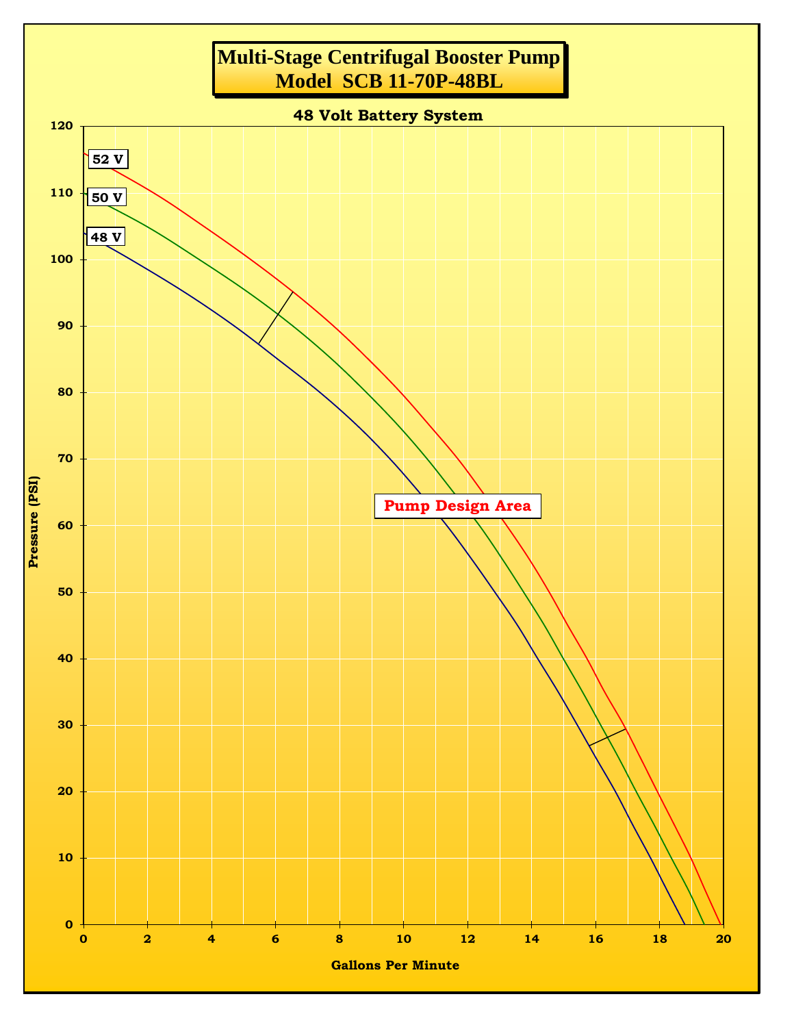